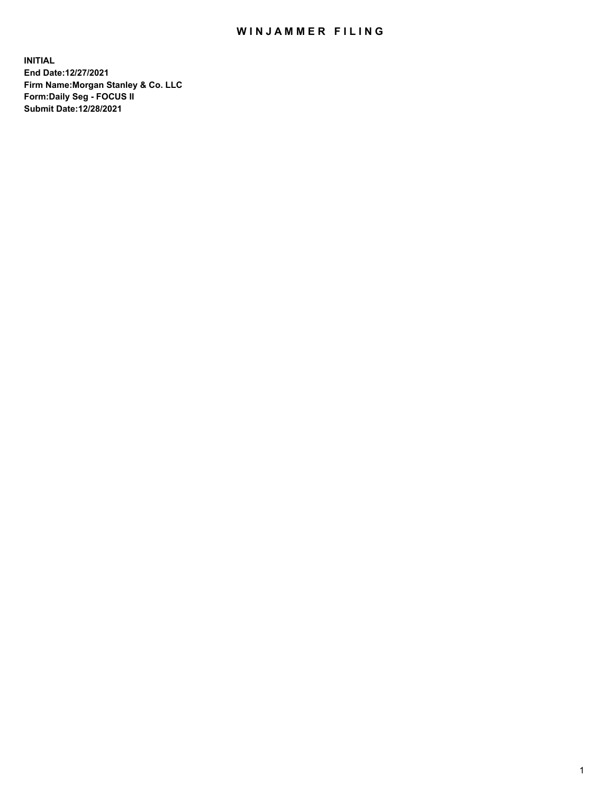## WIN JAMMER FILING

**INITIAL End Date:12/27/2021 Firm Name:Morgan Stanley & Co. LLC Form:Daily Seg - FOCUS II Submit Date:12/28/2021**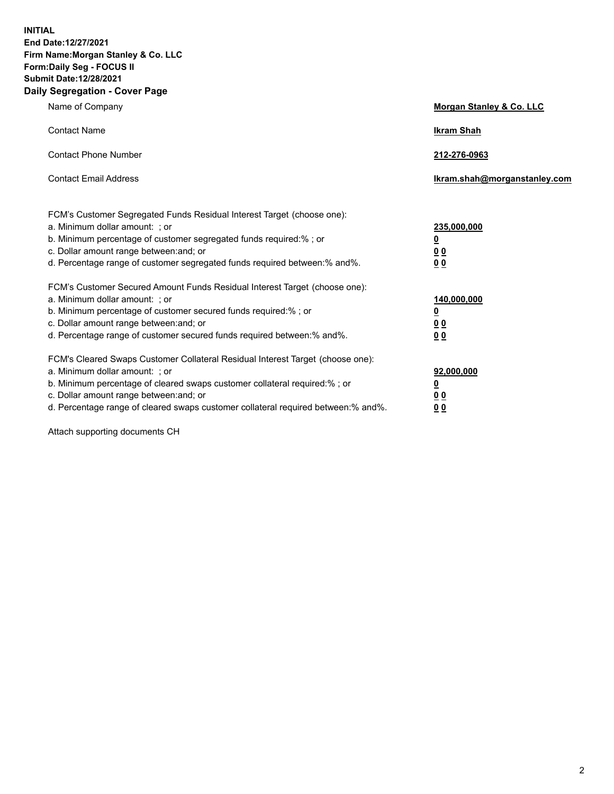**INITIAL End Date:12/27/2021 Firm Name:Morgan Stanley & Co. LLC Form:Daily Seg - FOCUS II Submit Date:12/28/2021 Daily Segregation - Cover Page**

| Name of Company                                                                                                                                                                                                                                                                                                               | Morgan Stanley & Co. LLC                               |
|-------------------------------------------------------------------------------------------------------------------------------------------------------------------------------------------------------------------------------------------------------------------------------------------------------------------------------|--------------------------------------------------------|
| <b>Contact Name</b>                                                                                                                                                                                                                                                                                                           | <b>Ikram Shah</b>                                      |
| <b>Contact Phone Number</b>                                                                                                                                                                                                                                                                                                   | 212-276-0963                                           |
| <b>Contact Email Address</b>                                                                                                                                                                                                                                                                                                  | Ikram.shah@morganstanley.com                           |
| FCM's Customer Segregated Funds Residual Interest Target (choose one):<br>a. Minimum dollar amount: ; or<br>b. Minimum percentage of customer segregated funds required:% ; or<br>c. Dollar amount range between: and; or<br>d. Percentage range of customer segregated funds required between:% and%.                        | 235,000,000<br><u>0</u><br><u>00</u><br>0 <sup>0</sup> |
| FCM's Customer Secured Amount Funds Residual Interest Target (choose one):<br>a. Minimum dollar amount: ; or<br>b. Minimum percentage of customer secured funds required:%; or<br>c. Dollar amount range between: and; or<br>d. Percentage range of customer secured funds required between:% and%.                           | 140,000,000<br><u>0</u><br><u>00</u><br>0 <sub>0</sub> |
| FCM's Cleared Swaps Customer Collateral Residual Interest Target (choose one):<br>a. Minimum dollar amount: ; or<br>b. Minimum percentage of cleared swaps customer collateral required:%; or<br>c. Dollar amount range between: and; or<br>d. Percentage range of cleared swaps customer collateral required between:% and%. | 92,000,000<br><u>0</u><br>0 Q<br>00                    |

Attach supporting documents CH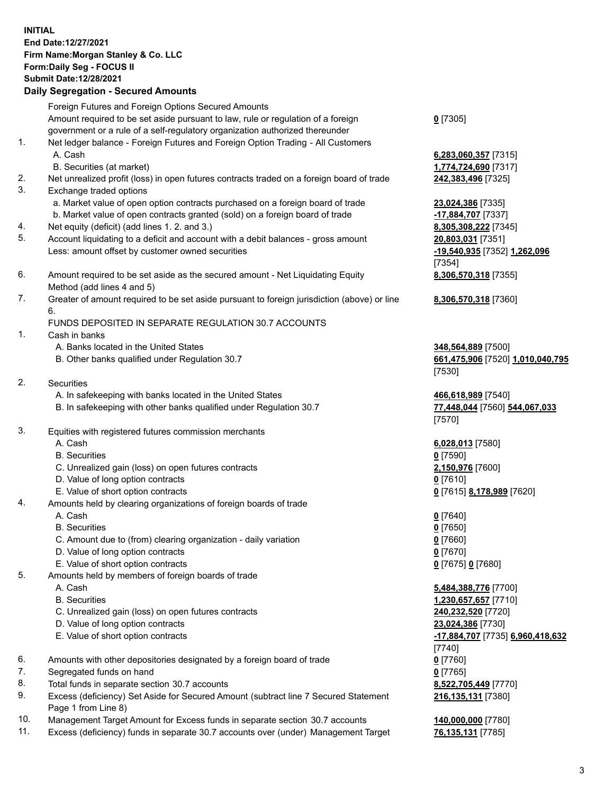## **INITIAL End Date:12/27/2021 Firm Name:Morgan Stanley & Co. LLC Form:Daily Seg - FOCUS II Submit Date:12/28/2021**

## **Daily Segregation - Secured Amounts**

Foreign Futures and Foreign Options Secured Amounts Amount required to be set aside pursuant to law, rule or regulation of a foreign government or a rule of a self-regulatory organization authorized thereunder 1. Net ledger balance - Foreign Futures and Foreign Option Trading - All Customers A. Cash **6,283,060,357** [7315] B. Securities (at market) **1,774,724,690** [7317] 2. Net unrealized profit (loss) in open futures contracts traded on a foreign board of trade **242,383,496** [7325] 3. Exchange traded options a. Market value of open option contracts purchased on a foreign board of trade **23,024,386** [7335] b. Market value of open contracts granted (sold) on a foreign board of trade **-17,884,707** [7337] 4. Net equity (deficit) (add lines 1. 2. and 3.) **8,305,308,222** [7345] 5. Account liquidating to a deficit and account with a debit balances - gross amount **20,803,031** [7351] Less: amount offset by customer owned securities **-19,540,935** [7352] **1,262,096** 6. Amount required to be set aside as the secured amount - Net Liquidating Equity Method (add lines 4 and 5) 7. Greater of amount required to be set aside pursuant to foreign jurisdiction (above) or line 6. FUNDS DEPOSITED IN SEPARATE REGULATION 30.7 ACCOUNTS 1. Cash in banks A. Banks located in the United States **348,564,889** [7500] B. Other banks qualified under Regulation 30.7 **661,475,906** [7520] **1,010,040,795**

- 2. Securities
	- A. In safekeeping with banks located in the United States **466,618,989** [7540]
	- B. In safekeeping with other banks qualified under Regulation 30.7 **77,448,044** [7560] **544,067,033**
- 3. Equities with registered futures commission merchants
	-
	- B. Securities **0** [7590]
	- C. Unrealized gain (loss) on open futures contracts **2,150,976** [7600]
	- D. Value of long option contracts **0** [7610]
	- E. Value of short option contracts **0** [7615] **8,178,989** [7620]
- 4. Amounts held by clearing organizations of foreign boards of trade
	- A. Cash **0** [7640]
	- B. Securities **0** [7650]
	- C. Amount due to (from) clearing organization daily variation **0** [7660]
	- D. Value of long option contracts **0** [7670]
	- E. Value of short option contracts **0** [7675] **0** [7680]
- 5. Amounts held by members of foreign boards of trade
	-
	-
	- C. Unrealized gain (loss) on open futures contracts **240,232,520** [7720]
	- D. Value of long option contracts **23,024,386** [7730]
	-
- 6. Amounts with other depositories designated by a foreign board of trade **0** [7760]
- 7. Segregated funds on hand **0** [7765]
- 8. Total funds in separate section 30.7 accounts **8,522,705,449** [7770]
- 9. Excess (deficiency) Set Aside for Secured Amount (subtract line 7 Secured Statement Page 1 from Line 8)
- 10. Management Target Amount for Excess funds in separate section 30.7 accounts **140,000,000** [7780]
- 11. Excess (deficiency) funds in separate 30.7 accounts over (under) Management Target **76,135,131** [7785]

**0** [7305]

[7354] **8,306,570,318** [7355]

**8,306,570,318** [7360]

[7530]

[7570]

A. Cash **6,028,013** [7580]

 A. Cash **5,484,388,776** [7700] B. Securities **1,230,657,657** [7710] E. Value of short option contracts **-17,884,707** [7735] **6,960,418,632** [7740] **216,135,131** [7380]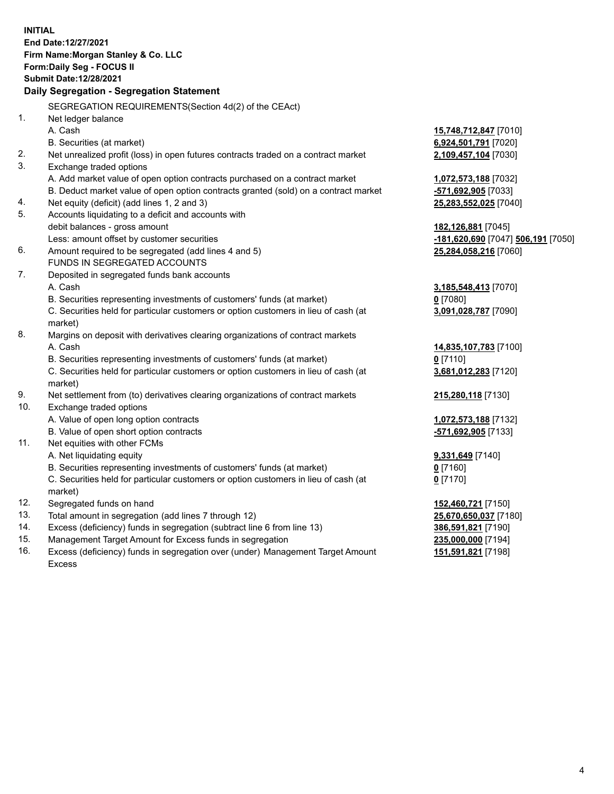**INITIAL End Date:12/27/2021 Firm Name:Morgan Stanley & Co. LLC Form:Daily Seg - FOCUS II Submit Date:12/28/2021 Daily Segregation - Segregation Statement** SEGREGATION REQUIREMENTS(Section 4d(2) of the CEAct) 1. Net ledger balance A. Cash **15,748,712,847** [7010] B. Securities (at market) **6,924,501,791** [7020] 2. Net unrealized profit (loss) in open futures contracts traded on a contract market **2,109,457,104** [7030] 3. Exchange traded options A. Add market value of open option contracts purchased on a contract market **1,072,573,188** [7032] B. Deduct market value of open option contracts granted (sold) on a contract market **-571,692,905** [7033] 4. Net equity (deficit) (add lines 1, 2 and 3) **25,283,552,025** [7040] 5. Accounts liquidating to a deficit and accounts with debit balances - gross amount **182,126,881** [7045] Less: amount offset by customer securities **-181,620,690** [7047] **506,191** [7050] 6. Amount required to be segregated (add lines 4 and 5) **25,284,058,216** [7060] FUNDS IN SEGREGATED ACCOUNTS 7. Deposited in segregated funds bank accounts A. Cash **3,185,548,413** [7070] B. Securities representing investments of customers' funds (at market) **0** [7080] C. Securities held for particular customers or option customers in lieu of cash (at market) **3,091,028,787** [7090] 8. Margins on deposit with derivatives clearing organizations of contract markets A. Cash **14,835,107,783** [7100] B. Securities representing investments of customers' funds (at market) **0** [7110] C. Securities held for particular customers or option customers in lieu of cash (at market) **3,681,012,283** [7120] 9. Net settlement from (to) derivatives clearing organizations of contract markets **215,280,118** [7130] 10. Exchange traded options A. Value of open long option contracts **1,072,573,188** [7132] B. Value of open short option contracts **-571,692,905** [7133] 11. Net equities with other FCMs A. Net liquidating equity **9,331,649** [7140] B. Securities representing investments of customers' funds (at market) **0** [7160] C. Securities held for particular customers or option customers in lieu of cash (at market) **0** [7170] 12. Segregated funds on hand **152,460,721** [7150] 13. Total amount in segregation (add lines 7 through 12) **25,670,650,037** [7180] 14. Excess (deficiency) funds in segregation (subtract line 6 from line 13) **386,591,821** [7190] 15. Management Target Amount for Excess funds in segregation **235,000,000** [7194]

16. Excess (deficiency) funds in segregation over (under) Management Target Amount Excess

**151,591,821** [7198]